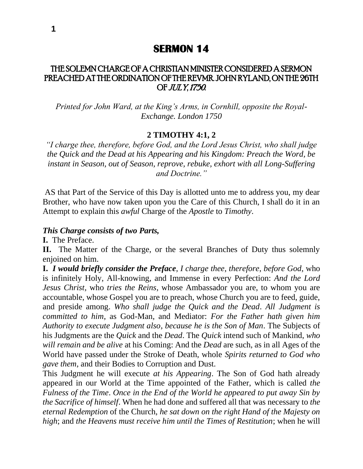## THE SOLEMN CHARGE OF A CHRISTIAN MINISTER CONSIDERED A SERMON PREACHED AT THE ORDINATION OF THE REVMR. JOHN RYLAND, ON THE 26TH OF JULY, 1750.

*Printed for John Ward, at the King's Arms, in Cornhill, opposite the Royal-Exchange. London 1750*

### **2 TIMOTHY 4:1, 2**

*"I charge thee, therefore, before God, and the Lord Jesus Christ, who shall judge the Quick and the Dead at his Appearing and his Kingdom: Preach the Word, be instant in Season, out of Season, reprove, rebuke, exhort with all Long-Suffering and Doctrine."*

AS that Part of the Service of this Day is allotted unto me to address you, my dear Brother, who have now taken upon you the Care of this Church, I shall do it in an Attempt to explain this *awful* Charge of the *Apostle* to *Timothy*.

#### *This Charge consists of two Parts,*

**I.** The Preface.

**II.** The Matter of the Charge, or the several Branches of Duty thus solemnly enjoined on him.

**I.** *I would briefly consider the Preface*, *I charge thee*, *therefore*, *before God*, who is infinitely Holy, All-knowing, and Immense in every Perfection: *And the Lord Jesus Christ*, who *tries the Reins*, whose Ambassador you are, to whom you are accountable, whose Gospel you are to preach, whose Church you are to feed, guide, and preside among. *Who shall judge the Quick and the Dead*. *All Judgment is committed to him*, as God-Man, and Mediator: *For the Father hath given him Authority to execute Judgment also*, *because he is the Son of Man*. The Subjects of his Judgments are the *Quick* and the *Dead*. The *Quick* intend such of Mankind, *who will remain and be alive* at his Coming: And the *Dead* are such, as in all Ages of the World have passed under the Stroke of Death, whole *Spirits returned to God who gave them*, and their Bodies to Corruption and Dust.

This Judgment he will execute *at his Appearing*. The Son of God hath already appeared in our World at the Time appointed of the Father, which is called *the Fulness of the Time*. *Once in the End of the World he appeared to put away Sin by the Sacrifice of himself*. When he had done and suffered all that was necessary to *the eternal Redemption* of the Church, *he sat down on the right Hand of the Majesty on high*; and *the Heavens must receive him until the Times of Restitution*; when he will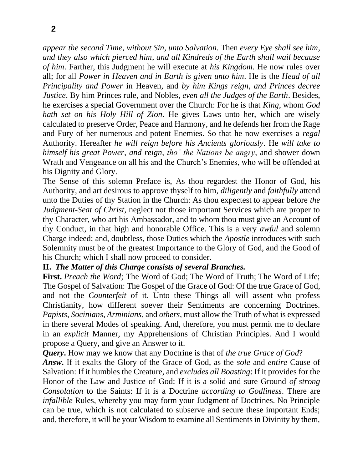*appear the second Time*, *without Sin*, *unto Salvation*. Then *every Eye shall see him*, *and they also which pierced him*, *and all Kindreds of the Earth shall wail because of him*. Farther, this Judgment he will execute at *his Kingdom*. He now rules over all; for all *Power in Heaven and in Earth is given unto him*. He is the *Head of all Principality and Power* in Heaven, and *by him Kings reign*, *and Princes decree Justice*. By him Princes rule, and Nobles, *even all the Judges of the Earth*. Besides, he exercises a special Government over the Church: For he is that *King*, whom *God hath set on his Holy Hill of Zion*. He gives Laws unto her, which are wisely calculated to preserve Order, Peace and Harmony, and he defends her from the Rage and Fury of her numerous and potent Enemies. So that he now exercises a *regal*  Authority. Hereafter *he will reign before his Ancients gloriously*. He *will take to himself his great Power*, *and reign*, *tho' the Nations be angry*, and shower down Wrath and Vengeance on all his and the Church's Enemies, who will be offended at his Dignity and Glory.

The Sense of this solemn Preface is, As thou regardest the Honor of God, his Authority, and art desirous to approve thyself to him, *diligently* and *faithfully* attend unto the Duties of thy Station in the Church: As thou expectest to appear before *the Judgment-Seat of Christ*, neglect not those important Services which are proper to thy Character, who art his Ambassador, and to whom thou must give an Account of thy Conduct, in that high and honorable Office. This is a very *awful* and solemn Charge indeed; and, doubtless, those Duties which the *Apostle* introduces with such Solemnity must be of the greatest Importance to the Glory of God, and the Good of his Church; which I shall now proceed to consider.

## **II.** *The Matter of this Charge consists of several Branches.*

**First.** *Preach the Word;* The Word of God; The Word of Truth; The Word of Life; The Gospel of Salvation: The Gospel of the Grace of God: Of the true Grace of God, and not the *Counterfeit* of it. Unto these Things all will assent who profess Christianity, how different soever their Sentiments are concerning Doctrines. *Papists*, *Socinians*, *Arminians*, and *others*, must allow the Truth of what is expressed in there several Modes of speaking. And, therefore, you must permit me to declare in an *explicit* Manner, my Apprehensions of Christian Principles. And I would propose a Query, and give an Answer to it.

*Query***.** How may we know that any Doctrine is that of *the true Grace of God*?

*Answ***.** If it exalts the Glory of the Grace of God, as the *sole* and *entire* Cause of Salvation: If it humbles the Creature, and *excludes all Boasting*: If it provides for the Honor of the Law and Justice of God: If it is a solid and sure Ground *of strong Consolation* to the Saints: If it is a Doctrine *according to Godliness*. There are *infallible* Rules, whereby you may form your Judgment of Doctrines. No Principle can be true, which is not calculated to subserve and secure these important Ends; and, therefore, it will be your Wisdom to examine all Sentiments in Divinity by them,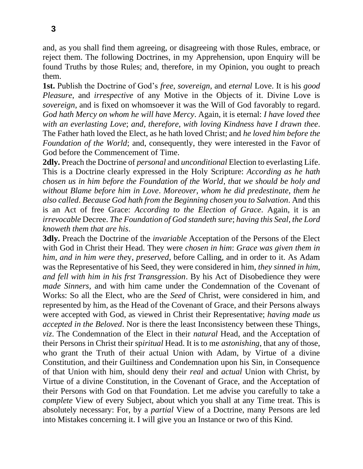and, as you shall find them agreeing, or disagreeing with those Rules, embrace, or reject them. The following Doctrines, in my Apprehension, upon Enquiry will be found Truths by those Rules; and, therefore, in my Opinion, you ought to preach them.

**1st.** Publish the Doctrine of God's *free*, *sovereign*, and *eternal* Love. It is his *good Pleasure*, and *irrespective* of any Motive in the Objects of it. Divine Love is *sovereign*, and is fixed on whomsoever it was the Will of God favorably to regard. *God hath Mercy on whom he will have Mercy*. Again, it is eternal: *I have loved thee with an everlasting Love*; *and*, *therefore*, *with loving Kindness have I drawn thee*. The Father hath loved the Elect, as he hath loved Christ; and *he loved him before the Foundation of the World*; and, consequently, they were interested in the Favor of God before the Commencement of Time.

**2dly.** Preach the Doctrine of *personal* and *unconditional* Election to everlasting Life. This is a Doctrine clearly expressed in the Holy Scripture: *According as he hath chosen us in him before the Foundation of the World*, *that we should be holy and without Blame before him in Love*. *Moreover*, *whom he did predestinate*, *them he also called*. *Because God hath from the Beginning chosen you to Salvation*. And this is an Act of free Grace: *According to the Election of Grace*. Again, it is an *irrevocable* Decree. *The Foundation of God standeth sure*; *having this Seal*, *the Lord knoweth them that are his*.

**3dly.** Preach the Doctrine of the *invariable* Acceptation of the Persons of the Elect with God in Christ their Head. They were *chosen in him*: *Grace was given them in him*, *and in him were the*y, *preserved*, before Calling, and in order to it. As Adam was the Representative of his Seed, they were considered in him, *they sinned in him*, *and fell with him in his frst Transgression*. By his Act of Disobedience they were *made Sinners*, and with him came under the Condemnation of the Covenant of Works: So all the Elect, who are the *Seed* of Christ, were considered in him, and represented by him, as the Head of the Covenant of Grace, and their Persons always were accepted with God, as viewed in Christ their Representative; *having made us accepted in the Beloved*. Nor is there the least Inconsistency between these Things, *viz*. The Condemnation of the Elect in their *natural* Head, and the Acceptation of their Persons in Christ their sp*iritual* Head. It is to me *astonishing*, that any of those, who grant the Truth of their actual Union with Adam, by Virtue of a divine Constitution, and their Guiltiness and Condemnation upon his Sin, in Consequence of that Union with him, should deny their *real* and *actual* Union with Christ, by Virtue of a divine Constitution, in the Covenant of Grace, and the Acceptation of their Persons with God on that Foundation. Let me advise you carefully to take a *complete* View of every Subject, about which you shall at any Time treat. This is absolutely necessary: For, by a *partial* View of a Doctrine, many Persons are led into Mistakes concerning it. I will give you an Instance or two of this Kind.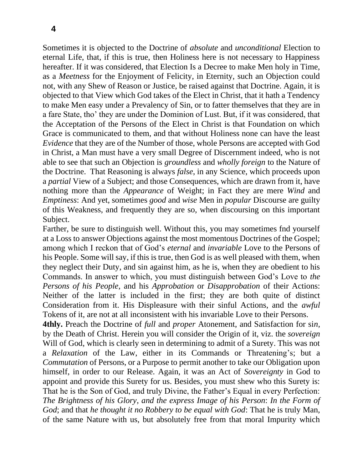Sometimes it is objected to the Doctrine of *absolute* and *unconditional* Election to eternal Life, that, if this is true, then Holiness here is not necessary to Happiness hereafter. If it was considered, that Election Is a Decree to make Men holy in Time, as a *Meetness* for the Enjoyment of Felicity, in Eternity, such an Objection could not, with any Shew of Reason or Justice, be raised against that Doctrine. Again, it is objected to that View which God takes of the Elect in Christ, that it hath a Tendency to make Men easy under a Prevalency of Sin, or to fatter themselves that they are in a fare State, tho' they are under the Dominion of Lust. But, if it was considered, that the Acceptation of the Persons of the Elect in Christ is that Foundation on which Grace is communicated to them, and that without Holiness none can have the least *Evidence* that they are of the Number of those, whole Persons are accepted with God in Christ, a Man must have a very small Degree of Discernment indeed, who is not able to see that such an Objection is *groundless* and *wholly foreign* to the Nature of the Doctrine. That Reasoning is always *false*, in any Science, which proceeds upon a *partial* View of a Subject; and those Consequences, which are drawn from it, have nothing more than the *Appearance* of Weight; in Fact they are mere *Wind* and *Emptiness*: And yet, sometimes *good* and *wise* Men in *popular* Discourse are guilty of this Weakness, and frequently they are so, when discoursing on this important Subject.

Farther, be sure to distinguish well. Without this, you may sometimes fnd yourself at a Loss to answer Objections against the most momentous Doctrines of the Gospel; among which I reckon that of God's *eternal* and *invariable* Love to the Persons of his People. Some will say, if this is true, then God is as well pleased with them, when they neglect their Duty, and sin against him, as he is, when they are obedient to his Commands. In answer to which, you must distinguish between God's Love to *the Persons of his People*, and his *Approbation* or *Disapprobation* of their Actions: Neither of the latter is included in the first; they are both quite of distinct Consideration from it. His Displeasure with their sinful Actions, and the *awful*  Tokens of it, are not at all inconsistent with his invariable Love to their Persons.

**4thly.** Preach the Doctrine of *full* and *proper* Atonement, and Satisfaction for si*n*, by the Death of Christ. Herein you will consider the Origin of it, viz. the *sovereign*  Will of God, which is clearly seen in determining to admit of a Surety. This was not a *Relaxation* of the Law, either in its Commands or Threatening's; but a *Commutation* of Persons, or a Purpose to permit another to take our Obligation upon himself, in order to our Release. Again, it was an Act of *Sovereignty* in God to appoint and provide this Surety for us. Besides, you must shew who this Surety is: That he is the Son of God, and truly Divine, the Father's Equal in every Perfection: *The Brightness of his Glory*, *and the express Image of his Person*: *In the Form of God*; and that *he thought it no Robbery to be equal with God*: That he is truly Man, of the same Nature with us, but absolutely free from that moral Impurity which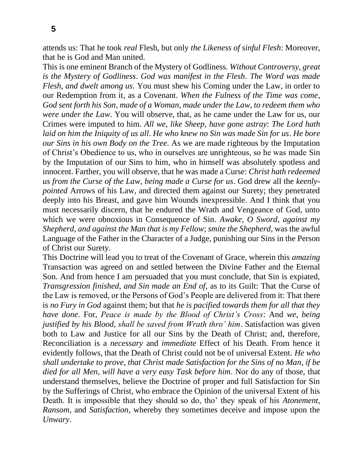attends us: That he took *real* Flesh, but only *the Likeness of sinful Flesh*: Moreover, that he is God and Man united.

This is one eminent Branch of the Mystery of Godliness. *Without Controversy*, *great is the Mystery of Godliness*. *God was manifest in the Flesh*. *The Word was made Flesh*, *and dwelt among us*. You must shew his Coming under the Law, in order to our Redemption from it, as a Covenant. *When the Fulness of the Time was come*, *God sent forth his Son*, *made of a Woman*, *made under the Law*, *to redeem them who were under the Law*. You will observe, that, as he came under the Law for us, our Crimes were imputed to him. *All we*, *like Sheep*, *have gone astray*: *The Lord hath laid on him the Iniquity of us all*. *He who knew no Sin was made Sin for us*. *He bore our Sins in his own Body on the Tree*. As we are made righteous by the Imputation of Christ's Obedience to us, who in ourselves are unrighteous, so he was made Sin by the Imputation of our Sins to him, who in himself was absolutely spotless and innocent. Farther, you will observe, that he was made a Curse: *Christ hath redeemed us from the Curse of the Law*, *being made a Curse for us*. God drew all the *keenlypointed* Arrows of his Law, and directed them against our Surety; they penetrated deeply into his Breast, and gave him Wounds inexpressible. And I think that you must necessarily discern, that he endured the Wrath and Vengeance of God, unto which we were obnoxious in Consequence of Sin. *Awake*, *O Sword*, *against my Shepherd*, *and against the Man that is my Fellow*; *smite the Shepherd*, was the awful Language of the Father in the Character of a Judge, punishing our Sins in the Person of Christ our Surety.

This Doctrine will lead you to treat of the Covenant of Grace, wherein this *amazing*  Transaction was agreed on and settled between the Divine Father and the Eternal Son. And from hence I am persuaded that you must conclude, that Sin is expiated, *Transgression finished*, *and Sin made an End of*, as to its Guilt: That the Curse of the Law is removed, or the Persons of God's People are delivered from it: That there is *no Fury in God* against them; but that *he is pacified towards them for all that they have done*. For, *Peace is made by the Blood of Christ's Cross*: And *we*, *being justified by his Blood*, *shall be saved from Wrath thro' him*. Satisfaction was given both to Law and Justice for all our Sins by the Death of Christ; and, therefore, Reconciliation is a *necessary* and *immediate* Effect of his Death. From hence it evidently follows, that the Death of Christ could not be of universal Extent. *He who shall undertake to prove*, *that Christ made Satisfaction for the Sins of no Man*, *if be died for all Men*, *will have a very easy Task before him*. Nor do any of those, that understand themselves, believe the Doctrine of proper and full Satisfaction for Sin by the Sufferings of Christ, who embrace the Opinion of the universal Extent of his Death. It is impossible that they should so do, tho' they speak of his *Atonement*, *Ransom*, and *Satisfaction*, whereby they sometimes deceive and impose upon the *Unwary*.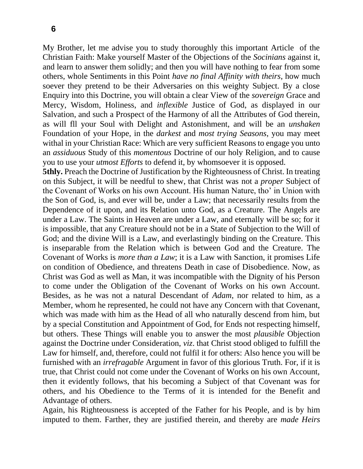My Brother, let me advise you to study thoroughly this important Article of the Christian Faith: Make yourself Master of the Objections of the *Socinians* against it, and learn to answer them solidly; and then you will have nothing to fear from some others, whole Sentiments in this Point *have no final Affinity with theirs*, how much soever they pretend to be their Adversaries on this weighty Subject. By a close Enquiry into this Doctrine, you will obtain a clear View of the *sovereign* Grace and Mercy, Wisdom, Holiness, and *inflexible* Justice of God, as displayed in our Salvation, and such a Prospect of the Harmony of all the Attributes of God therein, as will fll your Soul with Delight and Astonishment, and will be an *unshaken*  Foundation of your Hope, in the *darkest* and *most trying Seasons*, you may meet withal in your Christian Race: Which are very sufficient Reasons to engage you unto an *assiduous* Study of this *momentous* Doctrine of our holy Religion, and to cause you to use your *utmost Efforts* to defend it, by whomsoever it is opposed.

**5thly.** Preach the Doctrine of Justification by the Righteousness of Christ. In treating on this Subject, it will be needful to shew, that Christ was not a *proper* Subject of the Covenant of Works on his own Account. His human Nature, tho' in Union with the Son of God, is, and ever will be, under a Law; that necessarily results from the Dependence of it upon, and its Relation unto God, as a Creature. The Angels are under a Law. The Saints in Heaven are under a Law, and eternally will be so; for it is impossible, that any Creature should not be in a State of Subjection to the Will of God; and the divine Will is a Law, and everlastingly binding on the Creature. This is inseparable from the Relation which is between God and the Creature. The Covenant of Works is *more than a Law*; it is a Law with Sanction, it promises Life on condition of Obedience, and threatens Death in case of Disobedience. Now, as Christ was God as well as Man, it was incompatible with the Dignity of his Person to come under the Obligation of the Covenant of Works on his own Account. Besides, as he was not a natural Descendant of *Adam*, nor related to him, as a Member, whom he represented, he could not have any Concern with that Covenant, which was made with him as the Head of all who naturally descend from him, but by a special Constitution and Appointment of God, for Ends not respecting himself, but others. These Things will enable you to answer the most *plausible* Objection against the Doctrine under Consideration, *viz*. that Christ stood obliged to fulfill the Law for himself, and, therefore, could not fulfil it for others: Also hence you will be furnished with an *irrefragable* Argument in favor of this glorious Truth. For, if it is true, that Christ could not come under the Covenant of Works on his own Account, then it evidently follows, that his becoming a Subject of that Covenant was for others, and his Obedience to the Terms of it is intended for the Benefit and Advantage of others.

Again, his Righteousness is accepted of the Father for his People, and is by him imputed to them. Farther, they are justified therein, and thereby are *made Heirs*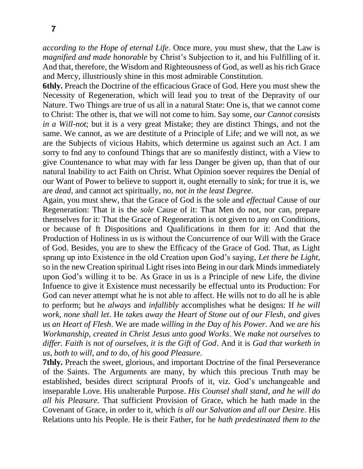*according to the Hope of eternal Life*. Once more, you must shew, that the Law is *magnified and made honorable* by Christ's Subjection to it, and his Fulfilling of it. And that, therefore, the Wisdom and Righteousness of God, as well as his rich Grace and Mercy, illustriously shine in this most admirable Constitution.

**6thly.** Preach the Doctrine of the efficacious Grace of God. Here you must shew the Necessity of Regeneration, which will lead you to treat of the Depravity of our Nature. Two Things are true of us all in a natural State: One is, that we cannot come to Christ: The other is, that we will not come to him. Say some, *our Cannot consists in a Will-not*; but it is a very great Mistake; they are distinct Things, and not the same. We cannot, as we are destitute of a Principle of Life; and we will not, as we are the Subjects of vicious Habits, which determine us against such an Act. I am sorry to fnd any to confound Things that are so manifestly distinct, with a View to give Countenance to what may with far less Danger be given up, than that of our natural Inability to act Faith on Christ. What Opinion soever requires the Denial of our Want of Power to believe to support it, ought eternally to sink; for true it is, we are *dead*, and cannot act spiritually, no, *not in the least Degree*.

Again, you must shew, that the Grace of God is the sole and *effectual* Cause of our Regeneration: That it is the *sole* Cause of it: That Men do not, nor can, prepare themselves for it: That the Grace of Regeneration is not given to any on Conditions, or because of ft Dispositions and Qualifications in them for it: And that the Production of Holiness in us is without the Concurrence of our Will with the Grace of God. Besides, you are to shew the Efficacy of the Grace of God. That, as Light sprang up into Existence in the old Creation upon God's saying, *Let there be Light*, so in the new Creation spiritual Light rises into Being in our dark Minds immediately upon God's willing it to be. As Grace in us is a Principle of new Life, the divine Infuence to give it Existence must necessarily be effectual unto its Production: For God can never attempt what he is not able to affect. He wills not to do all he is able to perform; but he *always* and *infallibly* accomplishes what he designs: If *he will work*, *none shall let*. He *takes away the Heart of Stone out of our Flesh*, *and gives us an Heart of Flesh*. We are made *willing in the Day of his Power*. And *we are his Workmanship*, *created in Christ Jesus unto good Works*. We *make not ourselves to differ. Faith is not of ourselves, it is the Gift of God*. And it is *Gad that worketh in us*, *both to will*, *and to do*, *of his good Pleasure*.

**7thly.** Preach the sweet, glorious, and important Doctrine of the final Perseverance of the Saints. The Arguments are many, by which this precious Truth may be established, besides direct scriptural Proofs of it, viz. God's unchangeable and inseparable Love. His unalterable Purpose. *His Counsel shall stand*, *and he will do all his Pleasure*. That sufficient Provision of Grace, which he hath made in the Covenant of Grace, in order to it, which *is all our Salvation and all our Desire*. His Relations unto his People. He is their Father, for he *hath predestinated them to the*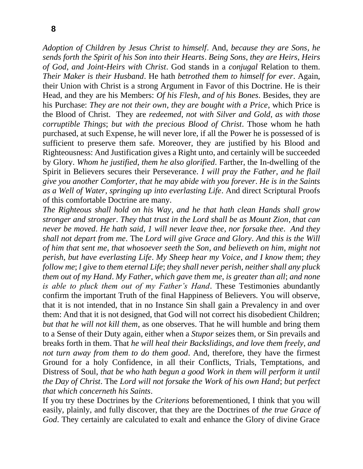*Adoption of Children by Jesus Christ to himself*. And, *because they are Sons*, *he sends forth the Spirit of his Son into their Hearts*. *Being Sons*, *they are Heirs*, *Heirs of God*, *and Joint-Heirs with Christ*. God stands in a *conjugal* Relation to them. *Their Maker is their Husband*. He hath *betrothed them to himself for ever*. Again, their Union with Christ is a strong Argument in Favor of this Doctrine. He is their Head, and they are his Members: *Of his Flesh*, *and of his Bones*. Besides, they are his Purchase: *They are not their own*, *they are bought with a Price*, which Price is the Blood of Christ. They are *redeemed*, *not with Silver and Gold*, *as with those corruptible Things*; *but with the precious Blood of Christ*. Those whom he hath purchased, at such Expense, he will never lore, if all the Power he is possessed of is sufficient to preserve them safe. Moreover, they are justified by his Blood and Righteousness: And Justification gives a Right unto, and certainly will be succeeded by Glory. *Whom he justified*, *them he also glorified*. Farther, the In-dwelling of the Spirit in Believers secures their Perseverance. *I will pray the Father*, *and he flail give you another Comforter*, *that he may abide with you forever*. *He is in the Saints as a Well of Water*, *springing up into everlasting Life*. And direct Scriptural Proofs of this comfortable Doctrine are many.

*The Righteous shall hold on his Way*, *and he that hath clean Hands shall grow stronger and stronger*. *They that trust in the Lord shall be as Mount Zion*, *that can never be moved*. *He hath said*, *1 will never leave thee*, *nor forsake thee*. *And they shall not depart from me*. The *Lord will give Grace and Glory*. *And this is the Will of him that sent me*, *that whosoever seeth the Son*, *and believeth on him*, *might not perish*, *but have everlasting Life*. *My Sheep hear my Voice*, *and I know them*; *they follow me*; *l give to them eternal Life*; *they shall never perish*, *neither shall any pluck them out of my Hand*. *My Father*, *which gave them me*, *is greater than all*; *and none is able to pluck them out of my Father's Hand*. These Testimonies abundantly confirm the important Truth of the final Happiness of Believers. You will observe, that it is not intended, that in no Instance Sin shall gain a Prevalency in and over them: And that it is not designed, that God will not correct his disobedient Children; *but that he will not kill them*, as one observes. That he will humble and bring them to a Sense of their Duty again, either when a *Stupor* seizes them, or Sin prevails and breaks forth in them. That *he will heal their Backslidings*, *and love them freely*, *and not turn away from them to do them good*. And, therefore, they have the firmest Ground for a holy Confidence, in all their Conflicts, Trials, Temptations, and Distress of Soul, *that be who hath begun a good Work in them will perform it until the Day of Christ*. The *Lord will not forsake the Work of his own Hand*; *but perfect that which concerneth his Saints*.

If you try these Doctrines by the *Criterions* beforementioned, I think that you will easily, plainly, and fully discover, that they are the Doctrines of *the true Grace of God*. They certainly are calculated to exalt and enhance the Glory of divine Grace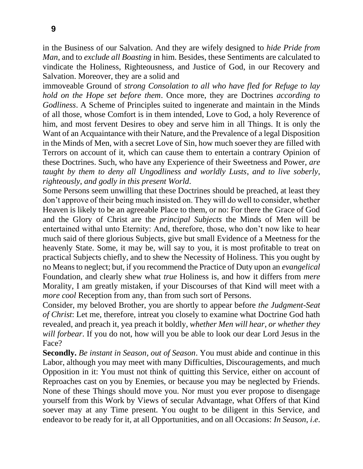in the Business of our Salvation. And they are wifely designed to *hide Pride from Man*, and to *exclude all Boasting* in him. Besides, these Sentiments are calculated to vindicate the Holiness, Righteousness, and Justice of God, in our Recovery and Salvation. Moreover, they are a solid and

immoveable Ground of *strong Consolation to all who have fled for Refuge to lay hold on the Hope set before them*. Once more, they are Doctrines *according to Godliness*. A Scheme of Principles suited to ingenerate and maintain in the Minds of all those, whose Comfort is in them intended, Love to God, a holy Reverence of him, and most fervent Desires to obey and serve him in all Things. It is only the Want of an Acquaintance with their Nature, and the Prevalence of a legal Disposition in the Minds of Men, with a secret Love of Sin, how much soever they are filled with Terrors on account of it, which can cause them to entertain a contrary Opinion of these Doctrines. Such, who have any Experience of their Sweetness and Power, *are taught by them to deny all Ungodliness and worldly Lusts*, *and to live soberly*, *righteously*, *and godly in this present World*.

Some Persons seem unwilling that these Doctrines should be preached, at least they don't approve of their being much insisted on. They will do well to consider, whether Heaven is likely to be an agreeable Place to them, or no: For there the Grace of God and the Glory of Christ are the *principal Subjects* the Minds of Men will be entertained withal unto Eternity: And, therefore, those, who don't now like to hear much said of there glorious Subjects, give but small Evidence of a Meetness for the heavenly State. Some, it may be, will say to you, it is most profitable to treat on practical Subjects chiefly, and to shew the Necessity of Holiness. This you ought by no Means to neglect; but, if you recommend the Practice of Duty upon an *evangelical*  Foundation, and clearly shew what *true* Holiness is, and how it differs from *mere*  Morality, I am greatly mistaken, if your Discourses of that Kind will meet with a *more cool* Reception from any, than from such sort of Persons.

Consider, my beloved Brother, you are shortly to appear before *the Judgment-Seat of Christ*: Let me, therefore, intreat you closely to examine what Doctrine God hath revealed, and preach it, yea preach it boldly, *whether Men will hear*, *or whether they will forbear*. If you do not, how will you be able to look our dear Lord Jesus in the Face?

**Secondly.** *Be instant in Season*, *out of Season*. You must abide and continue in this Labor, although you may meet with many Difficulties, Discouragements, and much Opposition in it: You must not think of quitting this Service, either on account of Reproaches cast on you by Enemies, or because you may be neglected by Friends. None of these Things should move you. Nor must you ever propose to disengage yourself from this Work by Views of secular Advantage, what Offers of that Kind soever may at any Time present. You ought to be diligent in this Service, and endeavor to be ready for it, at all Opportunities, and on all Occasions: *In Season*, *i*.*e*.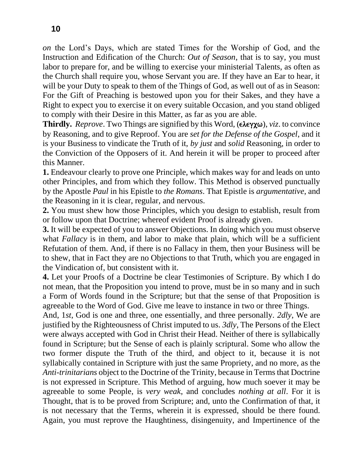*on* the Lord's Days, which are stated Times for the Worship of God, and the Instruction and Edification of the Church: *Out of Season*, that is to say, you must labor to prepare for, and be willing to exercise your ministerial Talents, as often as the Church shall require you, whose Servant you are. If they have an Ear to hear, it will be your Duty to speak to them of the Things of God, as well out of as in Season: For the Gift of Preaching is bestowed upon you for their Sakes, and they have a Right to expect you to exercise it on every suitable Occasion, and you stand obliged to comply with their Desire in this Matter, as far as you are able.

**Thirdly.** *Reprove*. Two Things are signified by this Word,  $(\epsilon \lambda \epsilon \gamma \chi \omega)$ , *viz.* to convince by Reasoning, and to give Reproof. You are *set for the Defense of the Gospel*, and it is your Business to vindicate the Truth of it, *by just* and *solid* Reasoning, in order to the Conviction of the Opposers of it. And herein it will be proper to proceed after this Manner.

**1.** Endeavour clearly to prove one Principle, which makes way for and leads on unto other Principles, and from which they follow. This Method is observed punctually by the Apostle *Paul* in his Epistle to *the Romans*. That Epistle is *argumentative*, and the Reasoning in it is clear, regular, and nervous.

**2.** You must shew how those Principles, which you design to establish, result from or follow upon that Doctrine; whereof evident Proof is already given.

**3.** It will be expected of you to answer Objections. In doing which you must observe what *Fallacy* is in them, and labor to make that plain, which will be a sufficient Refutation of them. And, if there is no Fallacy in them, then your Business will be to shew, that in Fact they are no Objections to that Truth, which you are engaged in the Vindication of, but consistent with it.

**4.** Let your Proofs of a Doctrine be clear Testimonies of Scripture. By which I do not mean, that the Proposition you intend to prove, must be in so many and in such a Form of Words found in the Scripture; but that the sense of that Proposition is agreeable to the Word of God. Give me leave to instance in two or three Things.

And, 1*st*, God is one and three, one essentially, and three personally. *2dly*, We are justified by the Righteousness of Christ imputed to us. *3dly*, The Persons of the Elect were always accepted with God in Christ their Head. Neither of there is syllabically found in Scripture; but the Sense of each is plainly scriptural. Some who allow the two former dispute the Truth of the third, and object to it, because it is not syllabically contained in Scripture with just the same Propriety, and no more, as the *Anti-trinitarians* object to the Doctrine of the Trinity, because in Terms that Doctrine is not expressed in Scripture. This Method of arguing, how much soever it may be agreeable to some People, is *very weak*, and concludes *nothing at all*. For it is Thought, that is to be proved from Scripture; and, unto the Confirmation of that, it is not necessary that the Terms, wherein it is expressed, should be there found. Again, you must reprove the Haughtiness, disingenuity, and Impertinence of the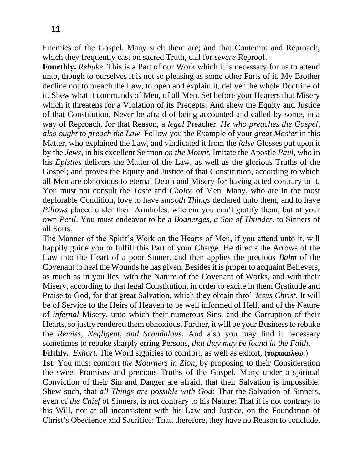Enemies of the Gospel. Many such there are; and that Contempt and Reproach, which they frequently cast on sacred Truth, call for *severe* Reproof.

**Fourthly.** *Rebuke*. This is a Part of our Work which it is necessary for us to attend unto, though to ourselves it is not so pleasing as some other Parts of it. My Brother decline not to preach the Law, to open and explain it, deliver the whole Doctrine of it. Shew what it commands of Men, of all Men. Set before your Hearers that Misery which it threatens for a Violation of its Precepts: And shew the Equity and Justice of that Constitution. Never be afraid of being accounted and called by some, in a way of Reproach, for that Reason, a *legal* Preacher. *He who preaches the Gospel*, *also ought to preach the Law*. Follow you the Example of your *great Master* in this Matter, who explained the Law, and vindicated it from the *false* Glosses put upon it by the *Jews*, in his excellent Sermon *on the Mount*. Imitate the Apostle *Paul*, who in his *Epistles* delivers the Matter of the Law, as well as the glorious Truths of the Gospel; and proves the Equity and Justice of that Constitution, according to which all Men are obnoxious to eternal Death and Misery for having acted contrary to it. You must not consult the *Taste* and *Choice* of Men. Many, who are in the most deplorable Condition, love to have *smooth Things* declared unto them, and to have *Pillows* placed under their Armholes, wherein you can't gratify them, but at your own *Peril*. You must endeavor to be a *Boanerges*, *a Son of Thunder*, to Sinners of all Sorts.

The Manner of the Spirit's Work on the Hearts of Men, if you attend unto it, will happily guide you to fulfill this Part of your Charge. He directs the Arrows of the Law into the Heart of a poor Sinner, and then applies the precious *Balm* of the Covenant to heal the Wounds he has given. Besides it is proper to acquaint Believers, as much as in you lies, with the Nature of the Covenant of Works, and with their Misery, according to that legal Constitution, in order to excite in them Gratitude and Praise to God, for that great Salvation, which they obtain thro' *Jesus Christ*. It will be of Service to the Heirs of Heaven to be well informed of Hell, and of the Nature of *infernal* Misery, unto which their numerous Sins, and the Corruption of their Hearts, so justly rendered them obnoxious. Farther, it will be your Business to rebuke the *Remiss*, *Negligent*, *and Scandalous*. And also you may find it necessary sometimes to rebuke sharply erring Persons, *that they may be found in the Faith*. **Fifthly.** *Exhort*. The Word signifies to comfort, as well as exhort,  $(\pi \alpha \alpha \alpha \lambda \epsilon \omega)$ .

**1st.** You must comfort *the Mourners in Zion*, by proposing to their Consideration the sweet Promises and precious Truths of the Gospel. Many under a spiritual Conviction of their Sin and Danger are afraid, that their Salvation is impossible. Shew such, that *all Things are possible with God*: That the Salvation of Sinners, even of *the Chief* of Sinners, is not contrary to his Nature: That it is not contrary to his Will, nor at all inconsistent with his Law and Justice, on the Foundation of Christ's Obedience and Sacrifice: That, therefore, they have no Reason to conclude,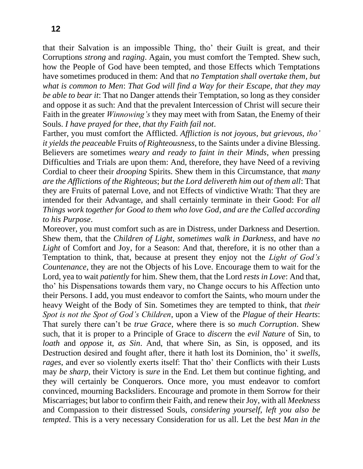that their Salvation is an impossible Thing, tho' their Guilt is great, and their Corruptions *strong* and *raging*. Again, you must comfort the Tempted. Shew such, how the People of God have been tempted, and those Effects which Temptations have sometimes produced in them: And that *no Temptation shall overtake them*, *but what is common to Men*: *That God will find a Way for their Escape*, *that they may be able to bear it*: That no Danger attends their Temptation, so long as they consider and oppose it as such: And that the prevalent Intercession of Christ will secure their Faith in the greater *Winnowing's* they may meet with from Satan, the Enemy of their Souls. *I have prayed for thee*, *that thy Faith fail not*.

Farther, you must comfort the Afflicted. *Affliction is not joyous*, *but grievous*, *tho' it yields the peaceable* Fruits *of Righteousness*, to the Saints under a divine Blessing. Believers are sometimes *weary and ready to faint in their Minds*, *when* pressing Difficulties and Trials are upon them: And, therefore, they have Need of a reviving Cordial to cheer their *drooping* Spirits. Shew them in this Circumstance, that *many are the Afflictions of the Righteous*; *but the Lord delivereth him out of them all*: That they are Fruits of paternal Love, and not Effects of vindictive Wrath: That they are intended for their Advantage, and shall certainly terminate in their Good: For *all Things work together for Good to them who love God*, *and are the Called according to his Purpose*.

Moreover, you must comfort such as are in Distress, under Darkness and Desertion. Shew them, that the *Children of Light*, *sometimes walk in Darkness*, and have *no Light* of Comfort and Joy, for a Season: And that, therefore, it is no other than a Temptation to think, that, because at present they enjoy not the *Light of God's Countenance*, they are not the Objects of his Love. Encourage them to wait for the Lord, yea to wait *patiently* for him. Shew them, that the Lord *rests in Love*: And that, tho' his Dispensations towards them vary, no Change occurs to his Affection unto their Persons. I add, you must endeavor to comfort the Saints, who mourn under the heavy Weight of the Body of Sin. Sometimes they are tempted to think, that *their Spot is not the Spot of God's Children*, upon a View of the *Plague of their Hearts*: That surely there can't be *true Grace*, where there is so *much Corruption*. Shew such, that it is proper to a Principle of Grace to *discern* the *evil Nature* of Sin, to *loath* and *oppose* it, *as Sin*. And, that where Sin, as Sin, is opposed, and its Destruction desired and fought after, there it hath lost its Dominion, tho' it *swells*, *rages*, and ever so violently exerts itself: That tho' their Conflicts with their Lusts may *be sharp*, their Victory is *sure* in the End. Let them but continue fighting, and they will certainly be Conquerors. Once more, you must endeavor to comfort convinced, mourning Backsliders. Encourage and promote in them Sorrow for their Miscarriages; but labor to confirm their Faith, and renew their Joy, with all *Meekness*  and Compassion to their distressed Souls, *considering yourself*, *left you also be tempted*. This is a very necessary Consideration for us all. Let the *best Man in the*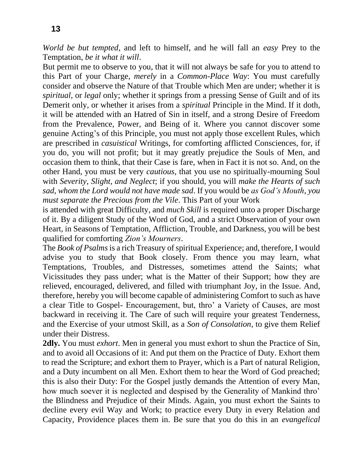*World be but tempted*, and left to himself, and he will fall an *easy* Prey to the Temptation, *be it what it will*.

But permit me to observe to you, that it will not always be safe for you to attend to this Part of your Charge, *merely* in a *Common-Place Way*: You must carefully consider and observe the Nature of that Trouble which Men are under; whether it is *spiritual*, or *legal* only; whether it springs from a pressing Sense of Guilt and of its Demerit only, or whether it arises from a *spiritual* Principle in the Mind. If it doth, it will be attended with an Hatred of Sin in itself, and a strong Desire of Freedom from the Prevalence, Power, and Being of it. Where you cannot discover some genuine Acting's of this Principle, you must not apply those excellent Rules, which are prescribed in *casuistical* Writings, for comforting afflicted Consciences, for, if you do, you will not profit; but it may greatly prejudice the Souls of Men, and occasion them to think, that their Case is fare, when in Fact it is not so. And, on the other Hand, you must be very *cautious*, that you use no spiritually-mourning Soul with *Severity*, *Slight*, *and Neglect*; if you should, you will *make the Hearts of such sad*, *whom the Lord would not have made sad*. If you would be *as God's Mouth*, *you must separate the Precious from the Vile*. This Part of your Work

is attended with great Difficulty, and *much Skill* is required unto a proper Discharge of it. By a diligent Study of the Word of God, and a strict Observation of your own Heart, in Seasons of Temptation, Affliction, Trouble, and Darkness, you will be best qualified for comforting *Zion's Mourners*.

The *Book of Psalms* is a rich Treasury of spiritual Experience; and, therefore, I would advise you to study that Book closely. From thence you may learn, what Temptations, Troubles, and Distresses, sometimes attend the Saints; what Vicissitudes they pass under; what is the Matter of their Support; how they are relieved, encouraged, delivered, and filled with triumphant Joy, in the Issue. And, therefore, hereby you will become capable of administering Comfort to such as have a clear Title to Gospel- Encouragement, but, thro' a Variety of Causes, are most backward in receiving it. The Care of such will require your greatest Tenderness, and the Exercise of your utmost Skill, as a *Son of Consolation*, to give them Relief under their Distress.

**2dly.** You must *exhort*. Men in general you must exhort to shun the Practice of Sin, and to avoid all Occasions of it: And put them on the Practice of Duty. Exhort them to read the Scripture; and exhort them to Prayer, which is a Part of natural Religion, and a Duty incumbent on all Men. Exhort them to hear the Word of God preached; this is also their Duty: For the Gospel justly demands the Attention of every Man, how much soever it is neglected and despised by the Generality of Mankind thro' the Blindness and Prejudice of their Minds. Again, you must exhort the Saints to decline every evil Way and Work; to practice every Duty in every Relation and Capacity, Providence places them in. Be sure that you do this in an *evangelical*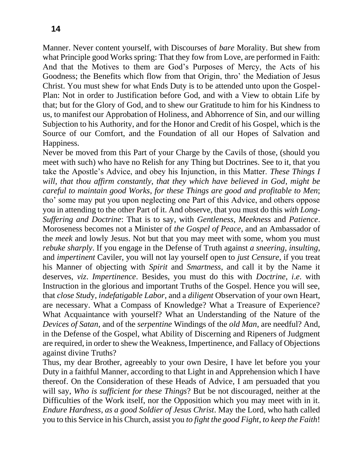Manner. Never content yourself, with Discourses of *bare* Morality. But shew from what Principle good Works spring: That they fow from Love, are performed in Faith: And that the Motives to them are God's Purposes of Mercy, the Acts of his Goodness; the Benefits which flow from that Origin, thro' the Mediation of Jesus Christ. You must shew for what Ends Duty is to be attended unto upon the Gospel-Plan: Not in order to Justification before God, and with a View to obtain Life by that; but for the Glory of God, and to shew our Gratitude to him for his Kindness to us, to manifest our Approbation of Holiness, and Abhorrence of Sin, and our willing Subjection to his Authority, and for the Honor and Credit of his Gospel, which is the Source of our Comfort, and the Foundation of all our Hopes of Salvation and Happiness.

Never be moved from this Part of your Charge by the Cavils of those, (should you meet with such) who have no Relish for any Thing but Doctrines. See to it, that you take the Apostle's Advice, and obey his Injunction, in this Matter. *These Things I will*, *that thou affirm constantly*, *that they which have believed in God*, *might be careful to maintain good Works*, *for these Things are good and profitable to Men*; tho' some may put you upon neglecting one Part of this Advice, and others oppose you in attending to the other Part of it. And observe, that you must do this *with Long-Suffering and Doctrine*: That is to say, with *Gentleness*, *Meekness* and *Patience*. Moroseness becomes not a Minister of *the Gospel of Peace*, and an Ambassador of the *meek* and lowly Jesus. Not but that you may meet with some, whom you must *rebuke sharply*. If you engage in the Defense of Truth against *a sneering*, *insulting*, and *impertinent* Caviler, you will not lay yourself open to *just Censure*, if you treat his Manner of objecting with *Spirit* and *Smartness*, and call it by the Name it deserves, *viz*. *Impertinence*. Besides, you must do this with *Doctrine*, *i*.*e*. with Instruction in the glorious and important Truths of the Gospel. Hence you will see, that *close Stud*y, *indefatigable Labor*, and a *diligent* Observation of your own Heart, are necessary. What a Compass of Knowledge? What a Treasure of Experience? What Acquaintance with yourself? What an Understanding of the Nature of the *Devices of Satan*, and of the *serpentine* Windings of the *old Man*, are needful? And, in the Defense of the Gospel, what Ability of Discerning and Ripeners of Judgment are required, in order to shew the Weakness, Impertinence, and Fallacy of Objections against divine Truths?

Thus, my dear Brother, agreeably to your own Desire, I have let before you your Duty in a faithful Manner, according to that Light in and Apprehension which I have thereof. On the Consideration of these Heads of Advice, I am persuaded that you will say, *Who is sufficient for these Things*? But be not discouraged, neither at the Difficulties of the Work itself, nor the Opposition which you may meet with in it. *Endure Hardness*, *as a good Soldier of Jesus Christ*. May the Lord, who hath called you to this Service in his Church, assist you *to fight the good Fight*, *to keep the Faith*!